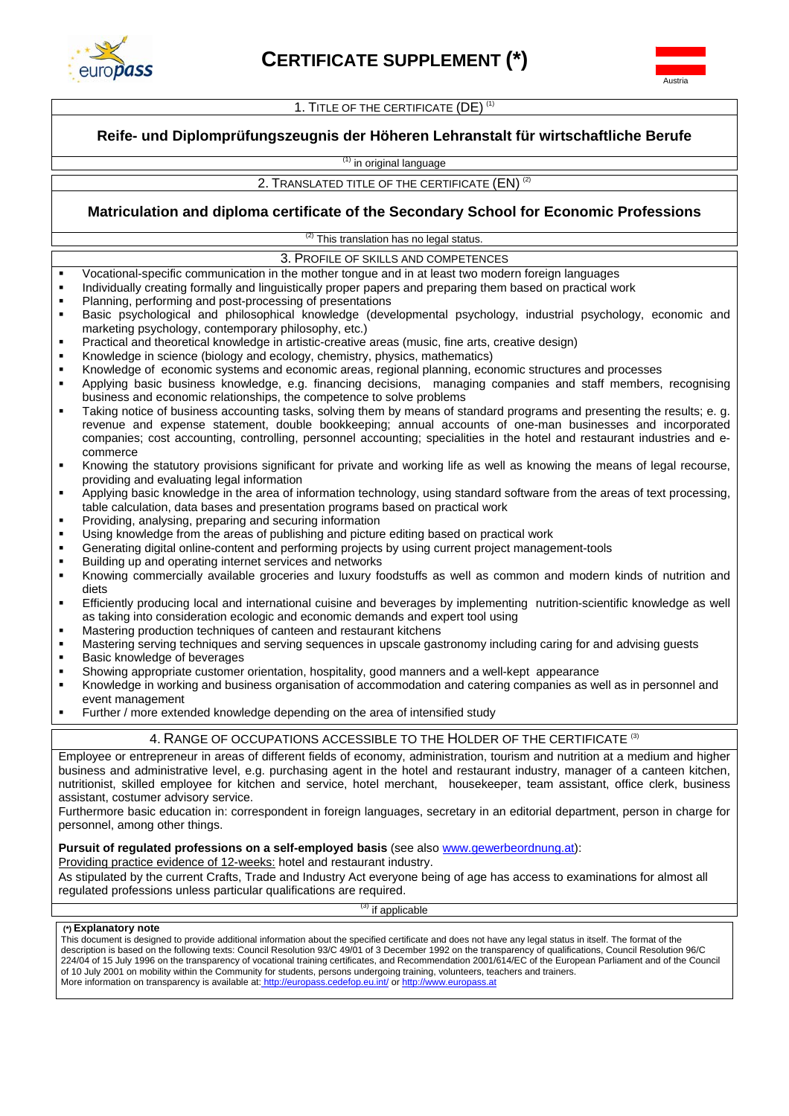



1. TITLE OF THE CERTIFICATE (DE)<sup>(1)</sup>

## **Reife- und Diplomprüfungszeugnis der Höheren Lehranstalt für wirtschaftliche Berufe**

<sup>(1)</sup> in original language

2. TRANSLATED TITLE OF THE CERTIFICATE (EN) (2)

# **Matriculation and diploma certificate of the Secondary School for Economic Professions**

 $(2)$  This translation has no legal status.

3. PROFILE OF SKILLS AND COMPETENCES

- Vocational-specific communication in the mother tongue and in at least two modern foreign languages
- Individually creating formally and linguistically proper papers and preparing them based on practical work
- Planning, performing and post-processing of presentations
- Basic psychological and philosophical knowledge (developmental psychology, industrial psychology, economic and marketing psychology, contemporary philosophy, etc.)
- Practical and theoretical knowledge in artistic-creative areas (music, fine arts, creative design)
- Knowledge in science (biology and ecology, chemistry, physics, mathematics)
- Knowledge of economic systems and economic areas, regional planning, economic structures and processes
- Applying basic business knowledge, e.g. financing decisions, managing companies and staff members, recognising business and economic relationships, the competence to solve problems
- Taking notice of business accounting tasks, solving them by means of standard programs and presenting the results; e. g. revenue and expense statement, double bookkeeping; annual accounts of one-man businesses and incorporated companies; cost accounting, controlling, personnel accounting; specialities in the hotel and restaurant industries and ecommerce
- Knowing the statutory provisions significant for private and working life as well as knowing the means of legal recourse, providing and evaluating legal information
- Applying basic knowledge in the area of information technology, using standard software from the areas of text processing, table calculation, data bases and presentation programs based on practical work
- Providing, analysing, preparing and securing information
- Using knowledge from the areas of publishing and picture editing based on practical work
- Generating digital online-content and performing projects by using current project management-tools
- Building up and operating internet services and networks
- Knowing commercially available groceries and luxury foodstuffs as well as common and modern kinds of nutrition and diets
- Efficiently producing local and international cuisine and beverages by implementing nutrition-scientific knowledge as well as taking into consideration ecologic and economic demands and expert tool using
- Mastering production techniques of canteen and restaurant kitchens
- Mastering serving techniques and serving sequences in upscale gastronomy including caring for and advising guests
- Basic knowledge of beverages
- Showing appropriate customer orientation, hospitality, good manners and a well-kept appearance
- Knowledge in working and business organisation of accommodation and catering companies as well as in personnel and event management
- Further / more extended knowledge depending on the area of intensified study

## 4. RANGE OF OCCUPATIONS ACCESSIBLE TO THE HOLDER OF THE CERTIFICATE <sup>(3)</sup>

Employee or entrepreneur in areas of different fields of economy, administration, tourism and nutrition at a medium and higher business and administrative level, e.g. purchasing agent in the hotel and restaurant industry, manager of a canteen kitchen, nutritionist, skilled employee for kitchen and service, hotel merchant, housekeeper, team assistant, office clerk, business assistant, costumer advisory service.

Furthermore basic education in: correspondent in foreign languages, secretary in an editorial department, person in charge for personnel, among other things.

## **Pursuit of regulated professions on a self-employed basis** (see also www.gewerbeordnung.at):

Providing practice evidence of 12-weeks: hotel and restaurant industry.

As stipulated by the current Crafts, Trade and Industry Act everyone being of age has access to examinations for almost all regulated professions unless particular qualifications are required.

<sup>3)</sup> if applicable

#### **(\*) Explanatory note**

This document is designed to provide additional information about the specified certificate and does not have any legal status in itself. The format of the description is based on the following texts: Council Resolution 93/C 49/01 of 3 December 1992 on the transparency of qualifications, Council Resolution 96/C 224/04 of 15 July 1996 on the transparency of vocational training certificates, and Recommendation 2001/614/EC of the European Parliament and of the Council of 10 July 2001 on mobility within the Community for students, persons undergoing training, volunteers, teachers and trainers. More information on transparency is available at: http://europass.cedefop.eu.int/ or http://www.europass.at